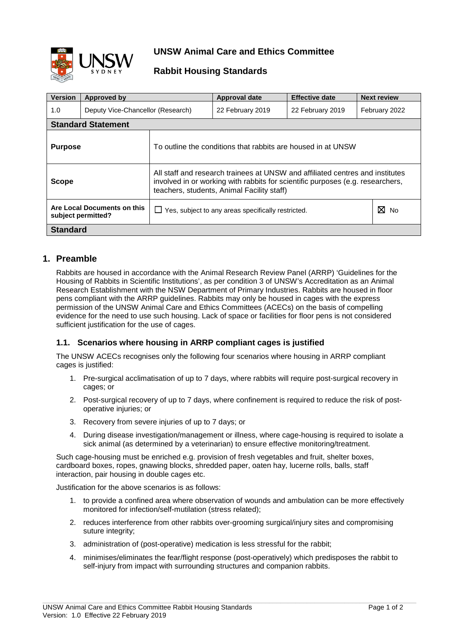

## **UNSW Animal Care and Ethics Committee**

## **Rabbit Housing Standards**

| <b>Version</b>                                    | Approved by                       |                                                                                                                                                                                                               | Approval date    | <b>Effective date</b> | <b>Next review</b> |  |  |
|---------------------------------------------------|-----------------------------------|---------------------------------------------------------------------------------------------------------------------------------------------------------------------------------------------------------------|------------------|-----------------------|--------------------|--|--|
| 1.0                                               | Deputy Vice-Chancellor (Research) |                                                                                                                                                                                                               | 22 February 2019 | 22 February 2019      | February 2022      |  |  |
| <b>Standard Statement</b>                         |                                   |                                                                                                                                                                                                               |                  |                       |                    |  |  |
| <b>Purpose</b>                                    |                                   | To outline the conditions that rabbits are housed in at UNSW                                                                                                                                                  |                  |                       |                    |  |  |
| <b>Scope</b>                                      |                                   | All staff and research trainees at UNSW and affiliated centres and institutes<br>involved in or working with rabbits for scientific purposes (e.g. researchers,<br>teachers, students, Animal Facility staff) |                  |                       |                    |  |  |
| Are Local Documents on this<br>subject permitted? |                                   | $\Box$ Yes, subject to any areas specifically restricted.                                                                                                                                                     | ⊠<br>No          |                       |                    |  |  |
| <b>Standard</b>                                   |                                   |                                                                                                                                                                                                               |                  |                       |                    |  |  |

## **1. Preamble**

Rabbits are housed in accordance with the Animal Research Review Panel (ARRP) 'Guidelines for the Housing of Rabbits in Scientific Institutions', as per condition 3 of UNSW's Accreditation as an Animal Research Establishment with the NSW Department of Primary Industries. Rabbits are housed in floor pens compliant with the ARRP guidelines. Rabbits may only be housed in cages with the express permission of the UNSW Animal Care and Ethics Committees (ACECs) on the basis of compelling evidence for the need to use such housing. Lack of space or facilities for floor pens is not considered sufficient justification for the use of cages.

## **1.1. Scenarios where housing in ARRP compliant cages is justified**

The UNSW ACECs recognises only the following four scenarios where housing in ARRP compliant cages is justified:

- 1. Pre-surgical acclimatisation of up to 7 days, where rabbits will require post-surgical recovery in cages; or
- 2. Post-surgical recovery of up to 7 days, where confinement is required to reduce the risk of postoperative injuries; or
- 3. Recovery from severe injuries of up to 7 days; or
- 4. During disease investigation/management or illness, where cage-housing is required to isolate a sick animal (as determined by a veterinarian) to ensure effective monitoring/treatment.

Such cage-housing must be enriched e.g. provision of fresh vegetables and fruit, shelter boxes, cardboard boxes, ropes, gnawing blocks, shredded paper, oaten hay, lucerne rolls, balls, staff interaction, pair housing in double cages etc.

Justification for the above scenarios is as follows:

- 1. to provide a confined area where observation of wounds and ambulation can be more effectively monitored for infection/self-mutilation (stress related);
- 2. reduces interference from other rabbits over-grooming surgical/injury sites and compromising suture integrity;
- 3. administration of (post-operative) medication is less stressful for the rabbit;
- 4. minimises/eliminates the fear/flight response (post-operatively) which predisposes the rabbit to self-injury from impact with surrounding structures and companion rabbits.